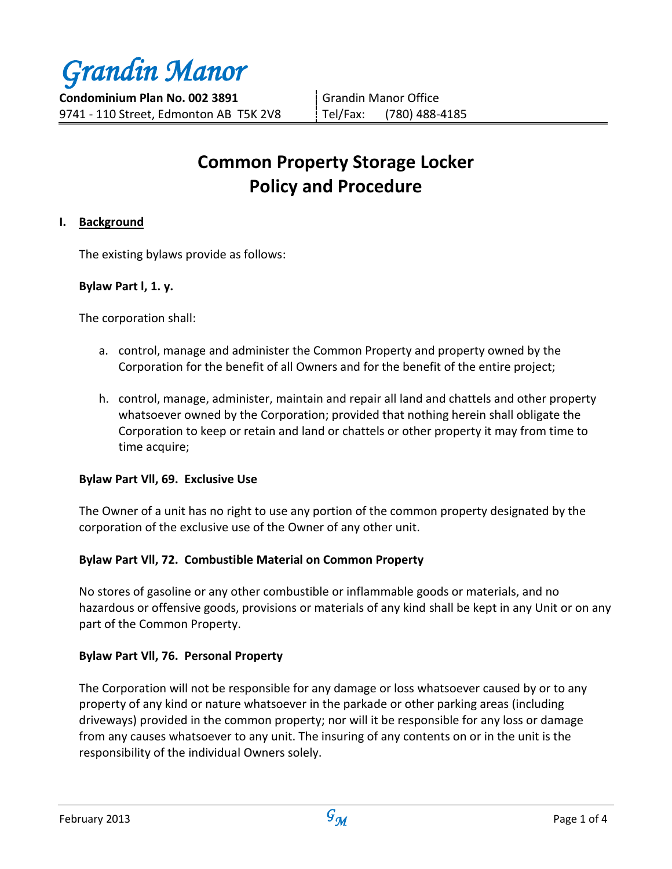*Grandin Manor*

**Condominium Plan No. 002 3891** 9741 - 110 Street, Edmonton AB T5K 2V8 Grandin Manor Office Tel/Fax: (780) 488-4185

# **Common Property Storage Locker Policy and Procedure**

# **I. Background**

The existing bylaws provide as follows:

## **Bylaw Part l, 1. y.**

The corporation shall:

- a. control, manage and administer the Common Property and property owned by the Corporation for the benefit of all Owners and for the benefit of the entire project;
- h. control, manage, administer, maintain and repair all land and chattels and other property whatsoever owned by the Corporation; provided that nothing herein shall obligate the Corporation to keep or retain and land or chattels or other property it may from time to time acquire;

## **Bylaw Part Vll, 69. Exclusive Use**

The Owner of a unit has no right to use any portion of the common property designated by the corporation of the exclusive use of the Owner of any other unit.

# **Bylaw Part Vll, 72. Combustible Material on Common Property**

No stores of gasoline or any other combustible or inflammable goods or materials, and no hazardous or offensive goods, provisions or materials of any kind shall be kept in any Unit or on any part of the Common Property.

# **Bylaw Part Vll, 76. Personal Property**

The Corporation will not be responsible for any damage or loss whatsoever caused by or to any property of any kind or nature whatsoever in the parkade or other parking areas (including driveways) provided in the common property; nor will it be responsible for any loss or damage from any causes whatsoever to any unit. The insuring of any contents on or in the unit is the responsibility of the individual Owners solely.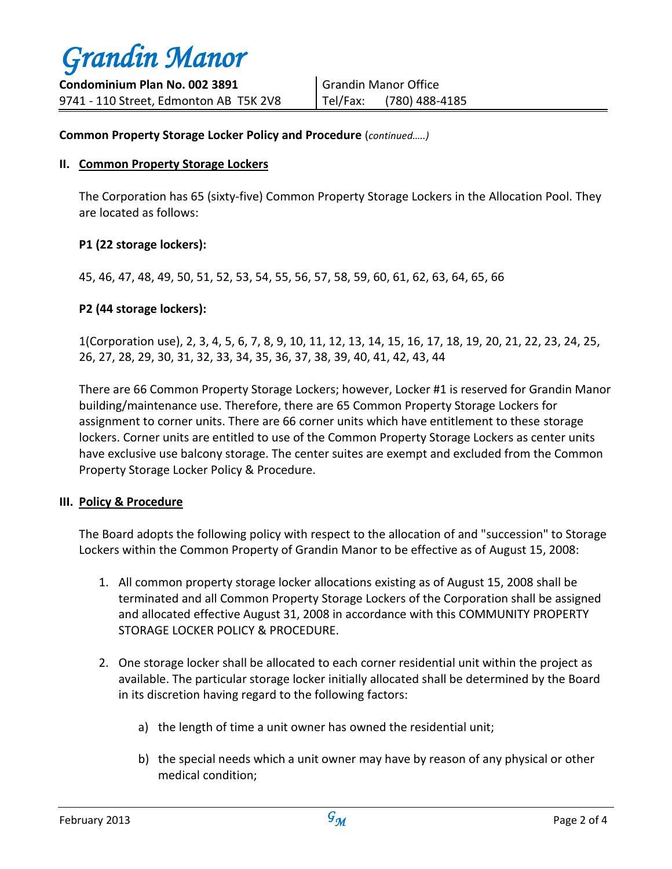## **Common Property Storage Locker Policy and Procedure** (*continued…..)*

#### **II. Common Property Storage Lockers**

The Corporation has 65 (sixty-five) Common Property Storage Lockers in the Allocation Pool. They are located as follows:

## **P1 (22 storage lockers):**

45, 46, 47, 48, 49, 50, 51, 52, 53, 54, 55, 56, 57, 58, 59, 60, 61, 62, 63, 64, 65, 66

## **P2 (44 storage lockers):**

1(Corporation use), 2, 3, 4, 5, 6, 7, 8, 9, 10, 11, 12, 13, 14, 15, 16, 17, 18, 19, 20, 21, 22, 23, 24, 25, 26, 27, 28, 29, 30, 31, 32, 33, 34, 35, 36, 37, 38, 39, 40, 41, 42, 43, 44

There are 66 Common Property Storage Lockers; however, Locker #1 is reserved for Grandin Manor building/maintenance use. Therefore, there are 65 Common Property Storage Lockers for assignment to corner units. There are 66 corner units which have entitlement to these storage lockers. Corner units are entitled to use of the Common Property Storage Lockers as center units have exclusive use balcony storage. The center suites are exempt and excluded from the Common Property Storage Locker Policy & Procedure.

## **III. Policy & Procedure**

The Board adopts the following policy with respect to the allocation of and "succession" to Storage Lockers within the Common Property of Grandin Manor to be effective as of August 15, 2008:

- 1. All common property storage locker allocations existing as of August 15, 2008 shall be terminated and all Common Property Storage Lockers of the Corporation shall be assigned and allocated effective August 31, 2008 in accordance with this COMMUNITY PROPERTY STORAGE LOCKER POLICY & PROCEDURE.
- 2. One storage locker shall be allocated to each corner residential unit within the project as available. The particular storage locker initially allocated shall be determined by the Board in its discretion having regard to the following factors:
	- a) the length of time a unit owner has owned the residential unit;
	- b) the special needs which a unit owner may have by reason of any physical or other medical condition;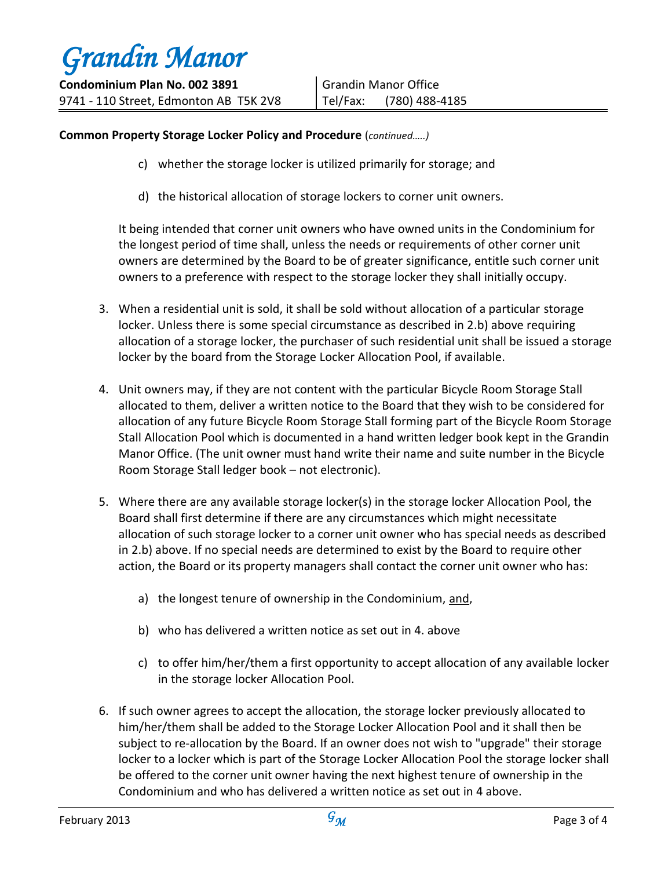## **Common Property Storage Locker Policy and Procedure** (*continued…..)*

- c) whether the storage locker is utilized primarily for storage; and
- d) the historical allocation of storage lockers to corner unit owners.

It being intended that corner unit owners who have owned units in the Condominium for the longest period of time shall, unless the needs or requirements of other corner unit owners are determined by the Board to be of greater significance, entitle such corner unit owners to a preference with respect to the storage locker they shall initially occupy.

- 3. When a residential unit is sold, it shall be sold without allocation of a particular storage locker. Unless there is some special circumstance as described in 2.b) above requiring allocation of a storage locker, the purchaser of such residential unit shall be issued a storage locker by the board from the Storage Locker Allocation Pool, if available.
- 4. Unit owners may, if they are not content with the particular Bicycle Room Storage Stall allocated to them, deliver a written notice to the Board that they wish to be considered for allocation of any future Bicycle Room Storage Stall forming part of the Bicycle Room Storage Stall Allocation Pool which is documented in a hand written ledger book kept in the Grandin Manor Office. (The unit owner must hand write their name and suite number in the Bicycle Room Storage Stall ledger book – not electronic).
- 5. Where there are any available storage locker(s) in the storage locker Allocation Pool, the Board shall first determine if there are any circumstances which might necessitate allocation of such storage locker to a corner unit owner who has special needs as described in 2.b) above. If no special needs are determined to exist by the Board to require other action, the Board or its property managers shall contact the corner unit owner who has:
	- a) the longest tenure of ownership in the Condominium, and,
	- b) who has delivered a written notice as set out in 4. above
	- c) to offer him/her/them a first opportunity to accept allocation of any available locker in the storage locker Allocation Pool.
- 6. If such owner agrees to accept the allocation, the storage locker previously allocated to him/her/them shall be added to the Storage Locker Allocation Pool and it shall then be subject to re-allocation by the Board. If an owner does not wish to "upgrade" their storage locker to a locker which is part of the Storage Locker Allocation Pool the storage locker shall be offered to the corner unit owner having the next highest tenure of ownership in the Condominium and who has delivered a written notice as set out in 4 above.